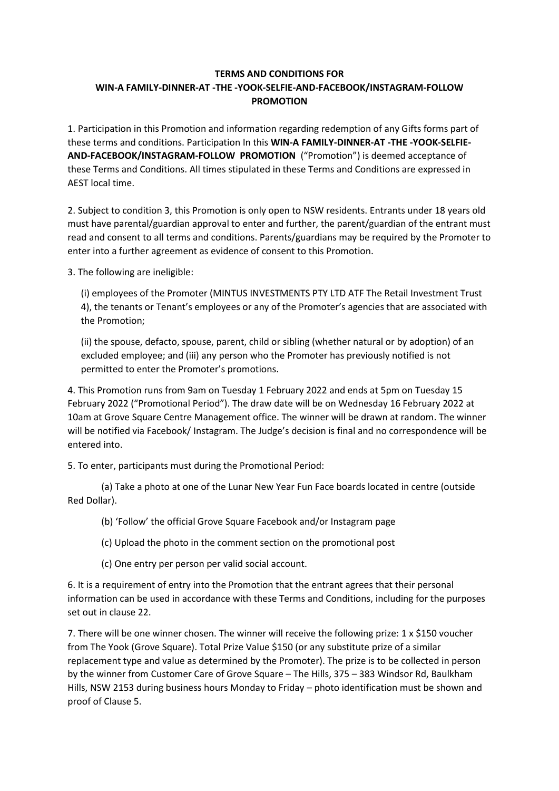## **TERMS AND CONDITIONS FOR WIN-A FAMILY-DINNER-AT -THE -YOOK-SELFIE-AND-FACEBOOK/INSTAGRAM-FOLLOW PROMOTION**

1. Participation in this Promotion and information regarding redemption of any Gifts forms part of these terms and conditions. Participation In this **WIN-A FAMILY-DINNER-AT -THE -YOOK-SELFIE-AND-FACEBOOK/INSTAGRAM-FOLLOW PROMOTION** ("Promotion") is deemed acceptance of these Terms and Conditions. All times stipulated in these Terms and Conditions are expressed in AEST local time.

2. Subject to condition 3, this Promotion is only open to NSW residents. Entrants under 18 years old must have parental/guardian approval to enter and further, the parent/guardian of the entrant must read and consent to all terms and conditions. Parents/guardians may be required by the Promoter to enter into a further agreement as evidence of consent to this Promotion.

3. The following are ineligible:

(i) employees of the Promoter (MINTUS INVESTMENTS PTY LTD ATF The Retail Investment Trust 4), the tenants or Tenant's employees or any of the Promoter's agencies that are associated with the Promotion;

(ii) the spouse, defacto, spouse, parent, child or sibling (whether natural or by adoption) of an excluded employee; and (iii) any person who the Promoter has previously notified is not permitted to enter the Promoter's promotions.

4. This Promotion runs from 9am on Tuesday 1 February 2022 and ends at 5pm on Tuesday 15 February 2022 ("Promotional Period"). The draw date will be on Wednesday 16 February 2022 at 10am at Grove Square Centre Management office. The winner will be drawn at random. The winner will be notified via Facebook/ Instagram. The Judge's decision is final and no correspondence will be entered into.

5. To enter, participants must during the Promotional Period:

(a) Take a photo at one of the Lunar New Year Fun Face boards located in centre (outside Red Dollar).

(b) 'Follow' the official Grove Square Facebook and/or Instagram page

(c) Upload the photo in the comment section on the promotional post

(c) One entry per person per valid social account.

6. It is a requirement of entry into the Promotion that the entrant agrees that their personal information can be used in accordance with these Terms and Conditions, including for the purposes set out in clause 22.

7. There will be one winner chosen. The winner will receive the following prize: 1 x \$150 voucher from The Yook (Grove Square). Total Prize Value \$150 (or any substitute prize of a similar replacement type and value as determined by the Promoter). The prize is to be collected in person by the winner from Customer Care of Grove Square – The Hills, 375 – 383 Windsor Rd, Baulkham Hills, NSW 2153 during business hours Monday to Friday – photo identification must be shown and proof of Clause 5.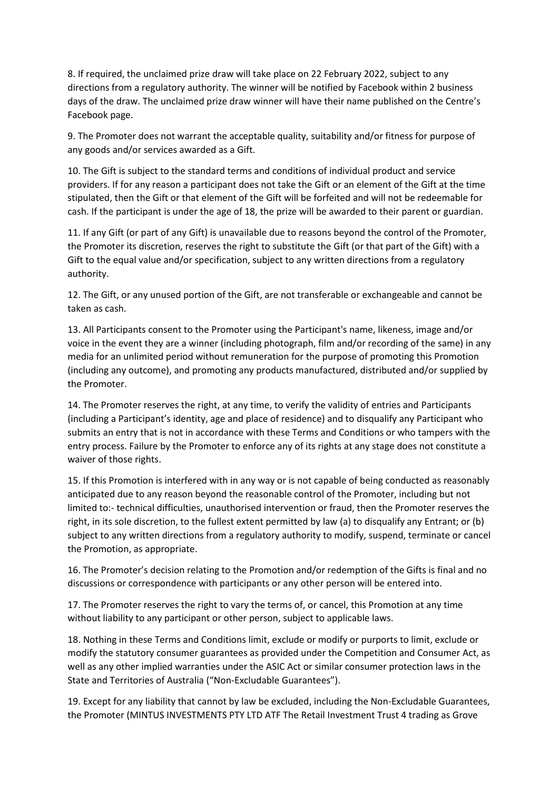8. If required, the unclaimed prize draw will take place on 22 February 2022, subject to any directions from a regulatory authority. The winner will be notified by Facebook within 2 business days of the draw. The unclaimed prize draw winner will have their name published on the Centre's Facebook page.

9. The Promoter does not warrant the acceptable quality, suitability and/or fitness for purpose of any goods and/or services awarded as a Gift.

10. The Gift is subject to the standard terms and conditions of individual product and service providers. If for any reason a participant does not take the Gift or an element of the Gift at the time stipulated, then the Gift or that element of the Gift will be forfeited and will not be redeemable for cash. If the participant is under the age of 18, the prize will be awarded to their parent or guardian.

11. If any Gift (or part of any Gift) is unavailable due to reasons beyond the control of the Promoter, the Promoter its discretion, reserves the right to substitute the Gift (or that part of the Gift) with a Gift to the equal value and/or specification, subject to any written directions from a regulatory authority.

12. The Gift, or any unused portion of the Gift, are not transferable or exchangeable and cannot be taken as cash.

13. All Participants consent to the Promoter using the Participant's name, likeness, image and/or voice in the event they are a winner (including photograph, film and/or recording of the same) in any media for an unlimited period without remuneration for the purpose of promoting this Promotion (including any outcome), and promoting any products manufactured, distributed and/or supplied by the Promoter.

14. The Promoter reserves the right, at any time, to verify the validity of entries and Participants (including a Participant's identity, age and place of residence) and to disqualify any Participant who submits an entry that is not in accordance with these Terms and Conditions or who tampers with the entry process. Failure by the Promoter to enforce any of its rights at any stage does not constitute a waiver of those rights.

15. If this Promotion is interfered with in any way or is not capable of being conducted as reasonably anticipated due to any reason beyond the reasonable control of the Promoter, including but not limited to:- technical difficulties, unauthorised intervention or fraud, then the Promoter reserves the right, in its sole discretion, to the fullest extent permitted by law (a) to disqualify any Entrant; or (b) subject to any written directions from a regulatory authority to modify, suspend, terminate or cancel the Promotion, as appropriate.

16. The Promoter's decision relating to the Promotion and/or redemption of the Gifts is final and no discussions or correspondence with participants or any other person will be entered into.

17. The Promoter reserves the right to vary the terms of, or cancel, this Promotion at any time without liability to any participant or other person, subject to applicable laws.

18. Nothing in these Terms and Conditions limit, exclude or modify or purports to limit, exclude or modify the statutory consumer guarantees as provided under the Competition and Consumer Act, as well as any other implied warranties under the ASIC Act or similar consumer protection laws in the State and Territories of Australia ("Non-Excludable Guarantees").

19. Except for any liability that cannot by law be excluded, including the Non-Excludable Guarantees, the Promoter (MINTUS INVESTMENTS PTY LTD ATF The Retail Investment Trust 4 trading as Grove